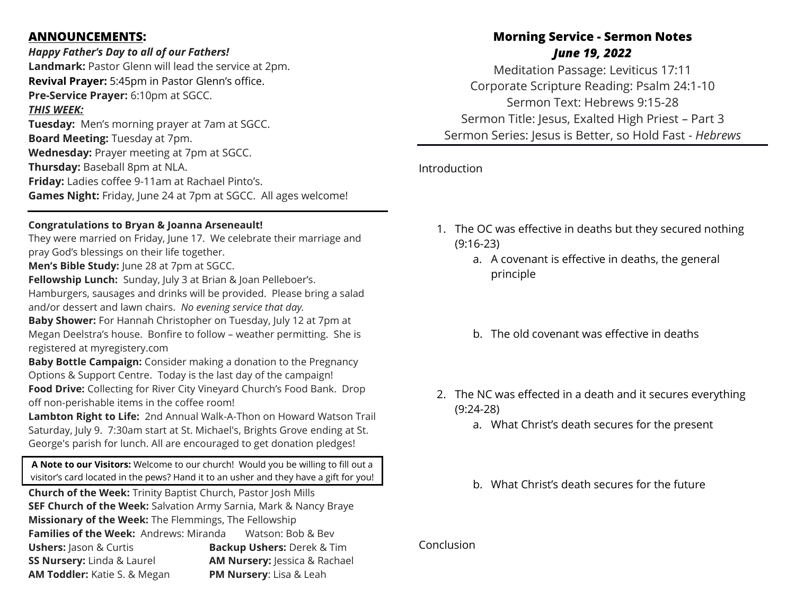### **ANNOUNCEMENTS:**

### *Happy Father's Day to all of our Fathers!*

**Landmark:** Pastor Glenn will lead the service at 2pm. **Revival Prayer:** 5:45pm in Pastor Glenn's office. **Pre-Service Prayer:** 6:10pm at SGCC. *THIS WEEK:* **Tuesday:** Men's morning prayer at 7am at SGCC. **Board Meeting:** Tuesday at 7pm. **Wednesday:** Prayer meeting at 7pm at SGCC. **Thursday:** Baseball 8pm at NLA.

**Friday:** Ladies coffee 9-11am at Rachael Pinto's. **Games Night:** Friday, June 24 at 7pm at SGCC. All ages welcome!

#### **Congratulations to Bryan & Joanna Arseneault!**

They were married on Friday, June 17. We celebrate their marriage and pray God's blessings on their life together.

**Men's Bible Study:** June 28 at 7pm at SGCC.

**Fellowship Lunch:** Sunday, July 3 at Brian & Joan Pelleboer's. Hamburgers, sausages and drinks will be provided. Please bring a salad and/or dessert and lawn chairs. *No evening service that day.*

**Baby Shower:** For Hannah Christopher on Tuesday, July 12 at 7pm at Megan Deelstra's house. Bonfire to follow – weather permitting. She is registered at myregistery.com

**Baby Bottle Campaign:** Consider making a donation to the Pregnancy Options & Support Centre. Today is the last day of the campaign! **Food Drive:** Collecting for River City Vineyard Church's Food Bank. Drop off non-perishable items in the coffee room!

**Lambton Right to Life:** 2nd Annual Walk-A-Thon on Howard Watson Trail Saturday, July 9.7:30am start at St. Michael's, Brights Grove ending at St. George's parish for lunch. All are encouraged to get donation pledges!

**A Note to our Visitors:** Welcome to our church! Would you be willing to fill out a visitor's card located in the pews? Hand it to an usher and they have a gift for you!

**Church of the Week:** Trinity Baptist Church, Pastor Josh Mills **SEF Church of the Week:** Salvation Army Sarnia, Mark & Nancy Braye **Missionary of the Week:** The Flemmings, The Fellowship **Families of the Week:** Andrews: Miranda Watson: Bob & Bev **Ushers:** Jason & Curtis **Backup Ushers:** Derek & Tim **SS Nursery:** Linda & Laurel **AM Nursery:** Jessica & Rachael **AM Toddler:** Katie S. & Megan **PM Nursery**: Lisa & Leah

# **Morning Service - Sermon Notes** *June 19, 2022*

Meditation Passage: Leviticus 17:11 Corporate Scripture Reading: Psalm 24:1-10 Sermon Text: Hebrews 9:15-28 Sermon Title: Jesus, Exalted High Priest – Part 3 Sermon Series: Jesus is Better, so Hold Fast - *Hebrews*

Introduction

- 1. The OC was effective in deaths but they secured nothing (9:16-23)
	- a. A covenant is effective in deaths, the general principle
	- b. The old covenant was effective in deaths
- 2. The NC was effected in a death and it secures everything (9:24-28)
	- a. What Christ's death secures for the present
	- b. What Christ's death secures for the future

#### Conclusion